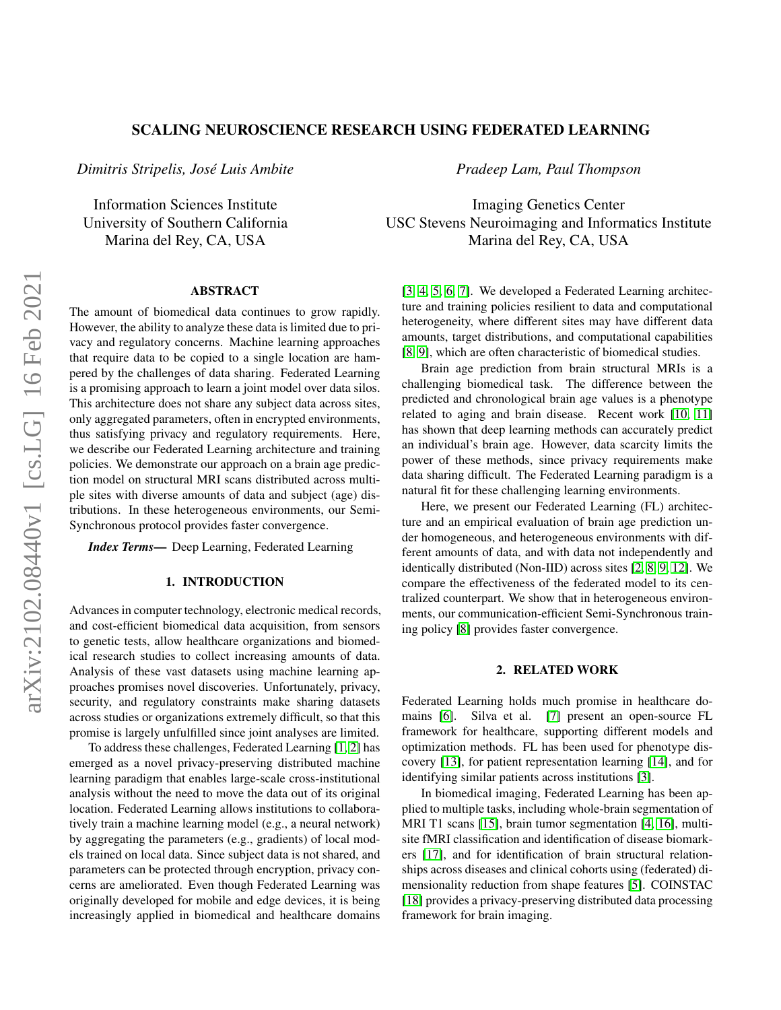# SCALING NEUROSCIENCE RESEARCH USING FEDERATED LEARNING

*Dimitris Stripelis, José Luis Ambite*

Information Sciences Institute University of Southern California Marina del Rey, CA, USA

## ABSTRACT

The amount of biomedical data continues to grow rapidly. However, the ability to analyze these data is limited due to privacy and regulatory concerns. Machine learning approaches that require data to be copied to a single location are hampered by the challenges of data sharing. Federated Learning is a promising approach to learn a joint model over data silos. This architecture does not share any subject data across sites, only aggregated parameters, often in encrypted environments, thus satisfying privacy and regulatory requirements. Here, we describe our Federated Learning architecture and training policies. We demonstrate our approach on a brain age prediction model on structural MRI scans distributed across multiple sites with diverse amounts of data and subject (age) distributions. In these heterogeneous environments, our Semi-Synchronous protocol provides faster convergence.

*Index Terms*— Deep Learning, Federated Learning

## 1. INTRODUCTION

Advances in computer technology, electronic medical records, and cost-efficient biomedical data acquisition, from sensors to genetic tests, allow healthcare organizations and biomedical research studies to collect increasing amounts of data. Analysis of these vast datasets using machine learning approaches promises novel discoveries. Unfortunately, privacy, security, and regulatory constraints make sharing datasets across studies or organizations extremely difficult, so that this promise is largely unfulfilled since joint analyses are limited.

To address these challenges, Federated Learning [\[1,](#page-4-0) [2\]](#page-4-1) has emerged as a novel privacy-preserving distributed machine learning paradigm that enables large-scale cross-institutional analysis without the need to move the data out of its original location. Federated Learning allows institutions to collaboratively train a machine learning model (e.g., a neural network) by aggregating the parameters (e.g., gradients) of local models trained on local data. Since subject data is not shared, and parameters can be protected through encryption, privacy concerns are ameliorated. Even though Federated Learning was originally developed for mobile and edge devices, it is being increasingly applied in biomedical and healthcare domains

*Pradeep Lam, Paul Thompson*

Imaging Genetics Center USC Stevens Neuroimaging and Informatics Institute Marina del Rey, CA, USA

[\[3,](#page-4-2) [4,](#page-4-3) [5,](#page-4-4) [6,](#page-4-5) [7\]](#page-4-6). We developed a Federated Learning architecture and training policies resilient to data and computational heterogeneity, where different sites may have different data amounts, target distributions, and computational capabilities [\[8,](#page-4-7) [9\]](#page-4-8), which are often characteristic of biomedical studies.

Brain age prediction from brain structural MRIs is a challenging biomedical task. The difference between the predicted and chronological brain age values is a phenotype related to aging and brain disease. Recent work [\[10,](#page-4-9) [11\]](#page-4-10) has shown that deep learning methods can accurately predict an individual's brain age. However, data scarcity limits the power of these methods, since privacy requirements make data sharing difficult. The Federated Learning paradigm is a natural fit for these challenging learning environments.

Here, we present our Federated Learning (FL) architecture and an empirical evaluation of brain age prediction under homogeneous, and heterogeneous environments with different amounts of data, and with data not independently and identically distributed (Non-IID) across sites [\[2,](#page-4-1) [8,](#page-4-7) [9,](#page-4-8) [12\]](#page-4-11). We compare the effectiveness of the federated model to its centralized counterpart. We show that in heterogeneous environments, our communication-efficient Semi-Synchronous training policy [\[8\]](#page-4-7) provides faster convergence.

#### 2. RELATED WORK

Federated Learning holds much promise in healthcare domains [\[6\]](#page-4-5). Silva et al. [\[7\]](#page-4-6) present an open-source FL framework for healthcare, supporting different models and optimization methods. FL has been used for phenotype discovery [\[13\]](#page-4-12), for patient representation learning [\[14\]](#page-4-13), and for identifying similar patients across institutions [\[3\]](#page-4-2).

In biomedical imaging, Federated Learning has been applied to multiple tasks, including whole-brain segmentation of MRI T1 scans [\[15\]](#page-4-14), brain tumor segmentation [\[4,](#page-4-3) [16\]](#page-4-15), multisite fMRI classification and identification of disease biomarkers [\[17\]](#page-4-16), and for identification of brain structural relationships across diseases and clinical cohorts using (federated) dimensionality reduction from shape features [\[5\]](#page-4-4). COINSTAC [\[18\]](#page-4-17) provides a privacy-preserving distributed data processing framework for brain imaging.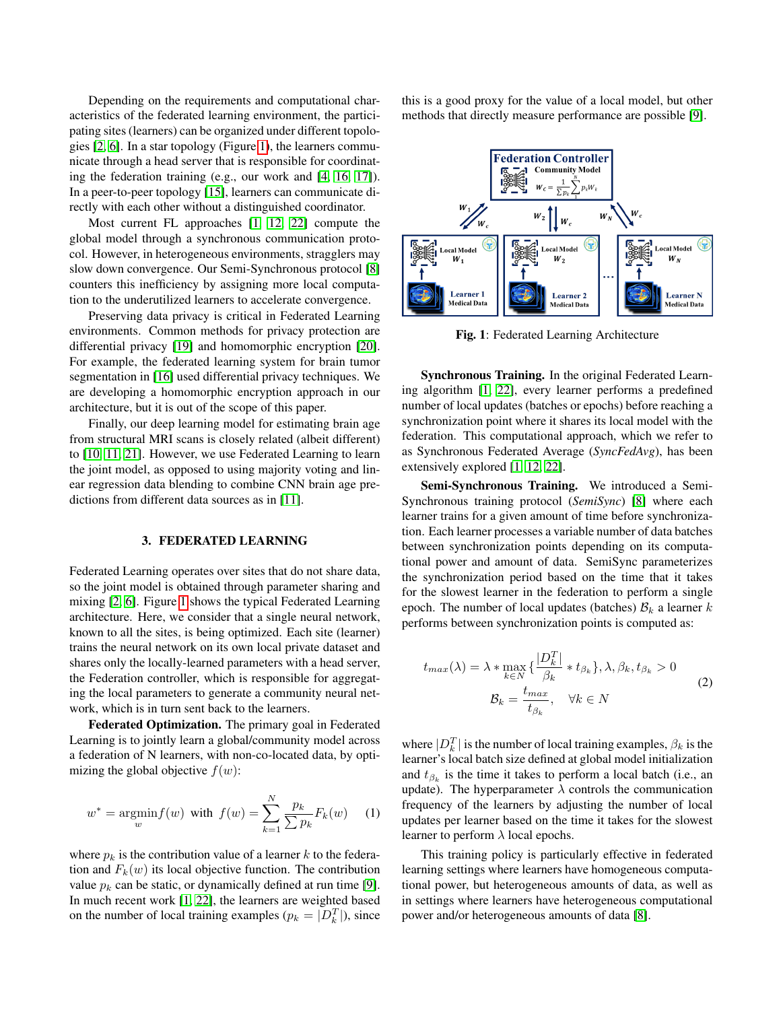Depending on the requirements and computational characteristics of the federated learning environment, the participating sites (learners) can be organized under different topologies [\[2,](#page-4-1) [6\]](#page-4-5). In a star topology (Figure [1\)](#page-1-0), the learners communicate through a head server that is responsible for coordinating the federation training (e.g., our work and [\[4,](#page-4-3) [16,](#page-4-15) [17\]](#page-4-16)). In a peer-to-peer topology [\[15\]](#page-4-14), learners can communicate directly with each other without a distinguished coordinator.

Most current FL approaches [\[1,](#page-4-0) [12,](#page-4-11) [22\]](#page-4-18) compute the global model through a synchronous communication protocol. However, in heterogeneous environments, stragglers may slow down convergence. Our Semi-Synchronous protocol [\[8\]](#page-4-7) counters this inefficiency by assigning more local computation to the underutilized learners to accelerate convergence.

Preserving data privacy is critical in Federated Learning environments. Common methods for privacy protection are differential privacy [\[19\]](#page-4-19) and homomorphic encryption [\[20\]](#page-4-20). For example, the federated learning system for brain tumor segmentation in [\[16\]](#page-4-15) used differential privacy techniques. We are developing a homomorphic encryption approach in our architecture, but it is out of the scope of this paper.

Finally, our deep learning model for estimating brain age from structural MRI scans is closely related (albeit different) to [\[10,](#page-4-9) [11,](#page-4-10) [21\]](#page-4-21). However, we use Federated Learning to learn the joint model, as opposed to using majority voting and linear regression data blending to combine CNN brain age predictions from different data sources as in [\[11\]](#page-4-10).

#### 3. FEDERATED LEARNING

Federated Learning operates over sites that do not share data, so the joint model is obtained through parameter sharing and mixing [\[2,](#page-4-1) [6\]](#page-4-5). Figure [1](#page-1-0) shows the typical Federated Learning architecture. Here, we consider that a single neural network, known to all the sites, is being optimized. Each site (learner) trains the neural network on its own local private dataset and shares only the locally-learned parameters with a head server, the Federation controller, which is responsible for aggregating the local parameters to generate a community neural network, which is in turn sent back to the learners.

Federated Optimization. The primary goal in Federated Learning is to jointly learn a global/community model across a federation of N learners, with non-co-located data, by optimizing the global objective  $f(w)$ :

$$
w^* = \underset{w}{\text{argmin}} f(w) \text{ with } f(w) = \sum_{k=1}^{N} \frac{p_k}{\sum p_k} F_k(w) \quad (1)
$$

where  $p_k$  is the contribution value of a learner k to the federation and  $F_k(w)$  its local objective function. The contribution value  $p_k$  can be static, or dynamically defined at run time [\[9\]](#page-4-8). In much recent work [\[1,](#page-4-0) [22\]](#page-4-18), the learners are weighted based on the number of local training examples ( $p_k = |D_k^T|$ ), since this is a good proxy for the value of a local model, but other methods that directly measure performance are possible [\[9\]](#page-4-8).

<span id="page-1-0"></span>

Fig. 1: Federated Learning Architecture

Synchronous Training. In the original Federated Learning algorithm [\[1,](#page-4-0) [22\]](#page-4-18), every learner performs a predefined number of local updates (batches or epochs) before reaching a synchronization point where it shares its local model with the federation. This computational approach, which we refer to as Synchronous Federated Average (*SyncFedAvg*), has been extensively explored [\[1,](#page-4-0) [12,](#page-4-11) [22\]](#page-4-18).

Semi-Synchronous Training. We introduced a Semi-Synchronous training protocol (*SemiSync*) [\[8\]](#page-4-7) where each learner trains for a given amount of time before synchronization. Each learner processes a variable number of data batches between synchronization points depending on its computational power and amount of data. SemiSync parameterizes the synchronization period based on the time that it takes for the slowest learner in the federation to perform a single epoch. The number of local updates (batches)  $\mathcal{B}_k$  a learner k performs between synchronization points is computed as:

<span id="page-1-1"></span>
$$
t_{max}(\lambda) = \lambda * \max_{k \in N} \left\{ \frac{|D_k^T|}{\beta_k} * t_{\beta_k} \right\}, \lambda, \beta_k, t_{\beta_k} > 0
$$
  

$$
\mathcal{B}_k = \frac{t_{max}}{t_{\beta_k}}, \quad \forall k \in N
$$
 (2)

where  $|D_k^T|$  is the number of local training examples,  $\beta_k$  is the learner's local batch size defined at global model initialization and  $t_{\beta_k}$  is the time it takes to perform a local batch (i.e., an update). The hyperparameter  $\lambda$  controls the communication frequency of the learners by adjusting the number of local updates per learner based on the time it takes for the slowest learner to perform  $\lambda$  local epochs.

This training policy is particularly effective in federated learning settings where learners have homogeneous computational power, but heterogeneous amounts of data, as well as in settings where learners have heterogeneous computational power and/or heterogeneous amounts of data [\[8\]](#page-4-7).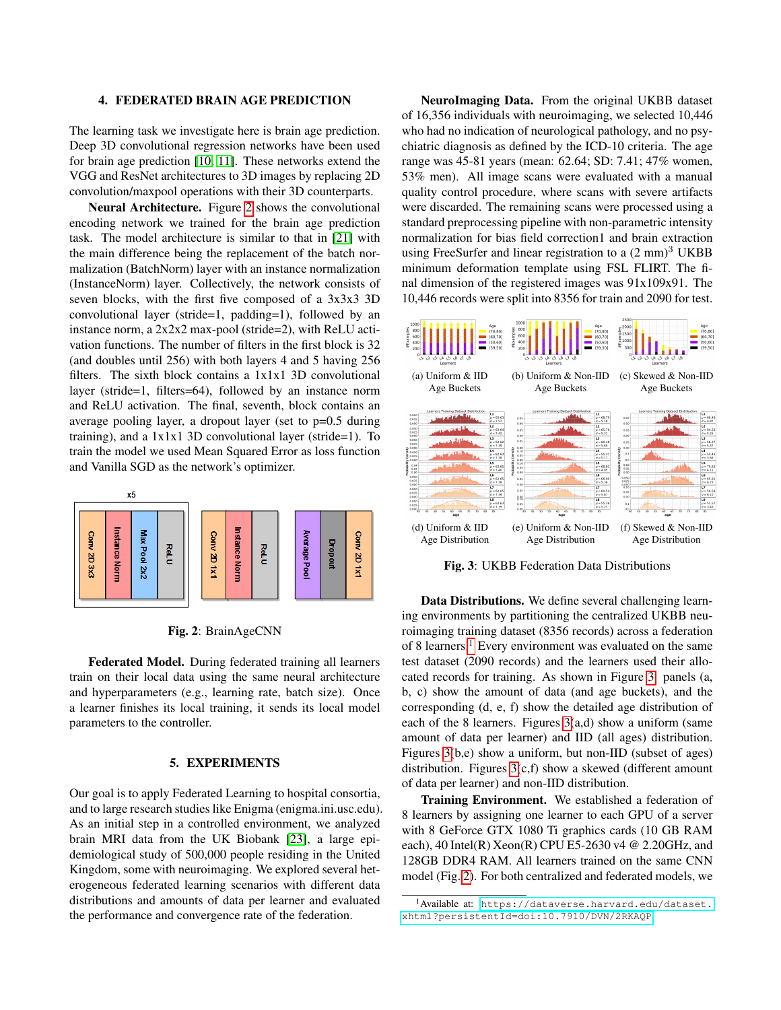#### 4. FEDERATED BRAIN AGE PREDICTION

The learning task we investigate here is brain age prediction. Deep 3D convolutional regression networks have been used for brain age prediction [\[10,](#page-4-9) [11\]](#page-4-10). These networks extend the VGG and ResNet architectures to 3D images by replacing 2D convolution/maxpool operations with their 3D counterparts.

Neural Architecture. Figure [2](#page-2-0) shows the convolutional encoding network we trained for the brain age prediction task. The model architecture is similar to that in [\[21\]](#page-4-21) with the main difference being the replacement of the batch normalization (BatchNorm) layer with an instance normalization (InstanceNorm) layer. Collectively, the network consists of seven blocks, with the first five composed of a 3x3x3 3D convolutional layer (stride=1, padding=1), followed by an instance norm, a 2x2x2 max-pool (stride=2), with ReLU activation functions. The number of filters in the first block is 32 (and doubles until 256) with both layers 4 and 5 having 256 filters. The sixth block contains a 1x1x1 3D convolutional layer (stride=1, filters=64), followed by an instance norm and ReLU activation. The final, seventh, block contains an average pooling layer, a dropout layer (set to p=0.5 during training), and a  $1x1x1$  3D convolutional layer (stride=1). To train the model we used Mean Squared Error as loss function and Vanilla SGD as the network's optimizer.

<span id="page-2-0"></span>



Federated Model. During federated training all learners train on their local data using the same neural architecture and hyperparameters (e.g., learning rate, batch size). Once a learner finishes its local training, it sends its local model parameters to the controller.

## 5. EXPERIMENTS

Our goal is to apply Federated Learning to hospital consortia, and to large research studies like Enigma (enigma.ini.usc.edu). As an initial step in a controlled environment, we analyzed brain MRI data from the UK Biobank [\[23\]](#page-4-22), a large epidemiological study of 500,000 people residing in the United Kingdom, some with neuroimaging. We explored several heterogeneous federated learning scenarios with different data distributions and amounts of data per learner and evaluated the performance and convergence rate of the federation.

NeuroImaging Data. From the original UKBB dataset of 16,356 individuals with neuroimaging, we selected 10,446 who had no indication of neurological pathology, and no psychiatric diagnosis as defined by the ICD-10 criteria. The age range was 45-81 years (mean: 62.64; SD: 7.41; 47% women, 53% men). All image scans were evaluated with a manual quality control procedure, where scans with severe artifacts were discarded. The remaining scans were processed using a standard preprocessing pipeline with non-parametric intensity normalization for bias field correction1 and brain extraction using FreeSurfer and linear registration to a  $(2 \text{ mm})^3$  UKBB minimum deformation template using FSL FLIRT. The final dimension of the registered images was 91x109x91. The 10,446 records were split into 8356 for train and 2090 for test.

<span id="page-2-2"></span>

Fig. 3: UKBB Federation Data Distributions

Data Distributions. We define several challenging learning environments by partitioning the centralized UKBB neuroimaging training dataset (8356 records) across a federation of 8 learners.<sup>[1](#page-2-1)</sup> Every environment was evaluated on the same test dataset (2090 records) and the learners used their allocated records for training. As shown in Figure [3:](#page-2-2) panels (a, b, c) show the amount of data (and age buckets), and the corresponding (d, e, f) show the detailed age distribution of each of the 8 learners. Figures  $3(a,d)$  show a uniform (same amount of data per learner) and IID (all ages) distribution. Figures [3\(](#page-2-2)b,e) show a uniform, but non-IID (subset of ages) distribution. Figures [3\(](#page-2-2)c,f) show a skewed (different amount of data per learner) and non-IID distribution.

Training Environment. We established a federation of 8 learners by assigning one learner to each GPU of a server with 8 GeForce GTX 1080 Ti graphics cards (10 GB RAM each),  $40$  Intel(R) Xeon(R) CPU E5-2630 v4 @ 2.20GHz, and 128GB DDR4 RAM. All learners trained on the same CNN model (Fig. [2\)](#page-2-0). For both centralized and federated models, we

<span id="page-2-1"></span><sup>1</sup>Available at: [https://dataverse.harvard.edu/dataset.](https://dataverse.harvard.edu/dataset.xhtml?persistentId=doi:10.7910/DVN/2RKAQP) [xhtml?persistentId=doi:10.7910/DVN/2RKAQP](https://dataverse.harvard.edu/dataset.xhtml?persistentId=doi:10.7910/DVN/2RKAQP)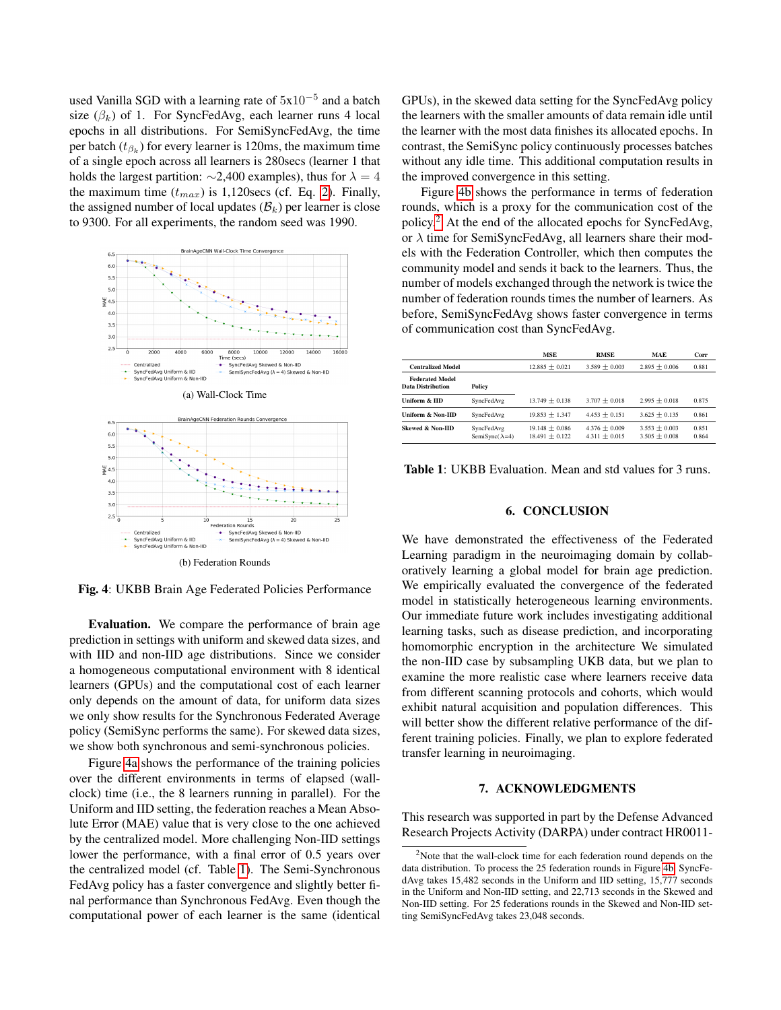used Vanilla SGD with a learning rate of  $5x10^{-5}$  and a batch size  $(\beta_k)$  of 1. For SyncFedAvg, each learner runs 4 local epochs in all distributions. For SemiSyncFedAvg, the time per batch  $(t_{\beta_k})$  for every learner is 120ms, the maximum time of a single epoch across all learners is 280secs (learner 1 that holds the largest partition:  $\sim$ 2,400 examples), thus for  $\lambda = 4$ the maximum time  $(t_{max})$  is 1,120secs (cf. Eq. [2\)](#page-1-1). Finally, the assigned number of local updates  $(\mathcal{B}_k)$  per learner is close to 9300. For all experiments, the random seed was 1990.

<span id="page-3-2"></span><span id="page-3-0"></span>

Fig. 4: UKBB Brain Age Federated Policies Performance

Evaluation. We compare the performance of brain age prediction in settings with uniform and skewed data sizes, and with IID and non-IID age distributions. Since we consider a homogeneous computational environment with 8 identical learners (GPUs) and the computational cost of each learner only depends on the amount of data, for uniform data sizes we only show results for the Synchronous Federated Average policy (SemiSync performs the same). For skewed data sizes, we show both synchronous and semi-synchronous policies.

Figure [4a](#page-3-0) shows the performance of the training policies over the different environments in terms of elapsed (wallclock) time (i.e., the 8 learners running in parallel). For the Uniform and IID setting, the federation reaches a Mean Absolute Error (MAE) value that is very close to the one achieved by the centralized model. More challenging Non-IID settings lower the performance, with a final error of 0.5 years over the centralized model (cf. Table [1\)](#page-3-1). The Semi-Synchronous FedAvg policy has a faster convergence and slightly better final performance than Synchronous FedAvg. Even though the computational power of each learner is the same (identical

GPUs), in the skewed data setting for the SyncFedAvg policy the learners with the smaller amounts of data remain idle until the learner with the most data finishes its allocated epochs. In contrast, the SemiSync policy continuously processes batches without any idle time. This additional computation results in the improved convergence in this setting.

Figure [4b](#page-3-2) shows the performance in terms of federation rounds, which is a proxy for the communication cost of the policy.[2](#page-3-3) At the end of the allocated epochs for SyncFedAvg, or  $\lambda$  time for SemiSyncFedAvg, all learners share their models with the Federation Controller, which then computes the community model and sends it back to the learners. Thus, the number of models exchanged through the network is twice the number of federation rounds times the number of learners. As before, SemiSyncFedAvg shows faster convergence in terms of communication cost than SyncFedAvg.

<span id="page-3-1"></span>

|                                                    |                                      | <b>MSE</b>                           | <b>RMSE</b>                        | <b>MAE</b>                         | Corr           |
|----------------------------------------------------|--------------------------------------|--------------------------------------|------------------------------------|------------------------------------|----------------|
| <b>Centralized Model</b>                           |                                      | $12.885 + 0.021$                     | $3.589 + 0.003$                    | $2.895 + 0.006$                    | 0.881          |
| <b>Federated Model</b><br><b>Data Distribution</b> | Policy                               |                                      |                                    |                                    |                |
| Uniform & IID                                      | SyncFedAvg                           | $13.749 + 0.138$                     | $3.707 + 0.018$                    | $2.995 + 0.018$                    | 0.875          |
| Uniform & Non-IID                                  | SyncFedAvg                           | $19.853 + 1.347$                     | $4.453 + 0.151$                    | $3.625 + 0.135$                    | 0.861          |
| Skewed & Non-HD                                    | SyncFedAvg<br>SemiSync $(\lambda=4)$ | $19.148 + 0.086$<br>$18.491 + 0.122$ | $4.376 + 0.009$<br>$4.311 + 0.015$ | $3.553 + 0.003$<br>$3.505 + 0.008$ | 0.851<br>0.864 |

Table 1: UKBB Evaluation. Mean and std values for 3 runs.

#### 6. CONCLUSION

We have demonstrated the effectiveness of the Federated Learning paradigm in the neuroimaging domain by collaboratively learning a global model for brain age prediction. We empirically evaluated the convergence of the federated model in statistically heterogeneous learning environments. Our immediate future work includes investigating additional learning tasks, such as disease prediction, and incorporating homomorphic encryption in the architecture We simulated the non-IID case by subsampling UKB data, but we plan to examine the more realistic case where learners receive data from different scanning protocols and cohorts, which would exhibit natural acquisition and population differences. This will better show the different relative performance of the different training policies. Finally, we plan to explore federated transfer learning in neuroimaging.

### 7. ACKNOWLEDGMENTS

This research was supported in part by the Defense Advanced Research Projects Activity (DARPA) under contract HR0011-

<span id="page-3-3"></span> $2$ Note that the wall-clock time for each federation round depends on the data distribution. To process the 25 federation rounds in Figure [4b,](#page-3-2) SyncFedAvg takes 15,482 seconds in the Uniform and IID setting, 15,777 seconds in the Uniform and Non-IID setting, and 22,713 seconds in the Skewed and Non-IID setting. For 25 federations rounds in the Skewed and Non-IID setting SemiSyncFedAvg takes 23,048 seconds.